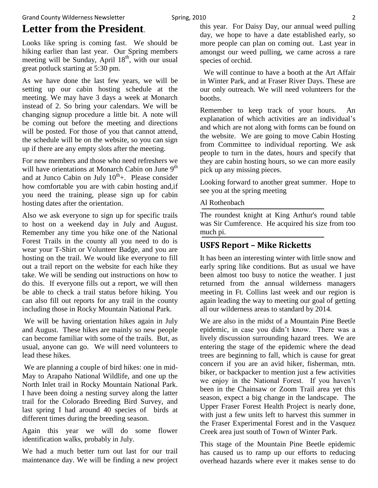# **Letter from the President**.

Looks like spring is coming fast. We should be hiking earlier than last year. Our Spring members meeting will be Sunday, April  $18<sup>th</sup>$ , with our usual great potluck starting at 5:30 pm.

As we have done the last few years, we will be setting up our cabin hosting schedule at the meeting. We may have 3 days a week at Monarch instead of 2. So bring your calendars. We will be changing signup procedure a little bit. A note will be coming out before the meeting and directions will be posted. For those of you that cannot attend, the schedule will be on the website, so you can sign up if there are any empty slots after the meeting.

For new members and those who need refreshers we will have orientations at Monarch Cabin on June 9<sup>th</sup> and at Junco Cabin on July  $10^{th}$ +. Please consider how comfortable you are with cabin hosting and,if you need the training, please sign up for cabin hosting dates after the orientation.

Also we ask everyone to sign up for specific trails to host on a weekend day in July and August. Remember any time you hike one of the National Forest Trails in the county all you need to do is wear your T-Shirt or Volunteer Badge, and you are hosting on the trail. We would like everyone to fill out a trail report on the website for each hike they take. We will be sending out instructions on how to do this. If everyone fills out a report, we will then be able to check a trail status before hiking. You can also fill out reports for any trail in the county including those in Rocky Mountain National Park.

We will be having orientation hikes again in July and August. These hikes are mainly so new people can become familiar with some of the trails. But, as usual, anyone can go. We will need volunteers to lead these hikes.

We are planning a couple of bird hikes: one in mid-May to Arapaho National Wildlife, and one up the North Inlet trail in Rocky Mountain National Park. I have been doing a nesting survey along the latter trail for the Colorado Breeding Bird Survey, and last spring I had around 40 species of birds at different times during the breeding season.

Again this year we will do some flower identification walks, probably in July.

We had a much better turn out last for our trail maintenance day. We will be finding a new project this year. For Daisy Day, our annual weed pulling day, we hope to have a date established early, so more people can plan on coming out. Last year in amongst our weed pulling, we came across a rare species of orchid.

 We will continue to have a booth at the Art Affair in Winter Park, and at Fraser River Days. These are our only outreach. We will need volunteers for the booths.

Remember to keep track of your hours. An explanation of which activities are an individual's and which are not along with forms can be found on the website. We are going to move Cabin Hosting from Committee to individual reporting. We ask people to turn in the dates, hours and specify that they are cabin hosting hours, so we can more easily pick up any missing pieces.

Looking forward to another great summer. Hope to see you at the spring meeting

#### Al Rothenbach

The roundest knight at King Arthur's round table was Sir Cumference. He acquired his size from too much pi.

### **USFS Report – Mike Ricketts**

It has been an interesting winter with little snow and early spring like conditions. But as usual we have been almost too busy to notice the weather. I just returned from the annual wilderness managers meeting in Ft. Collins last week and our region is again leading the way to meeting our goal of getting all our wilderness areas to standard by 2014.

We are also in the midst of a Mountain Pine Beetle epidemic, in case you didn't know. There was a lively discussion surrounding hazard trees. We are entering the stage of the epidemic where the dead trees are beginning to fall, which is cause for great concern if you are an avid hiker, fisherman, mtn. biker, or backpacker to mention just a few activities we enjoy in the National Forest. If you haven't been in the Chainsaw or Zoom Trail area yet this season, expect a big change in the landscape. The Upper Fraser Forest Health Project is nearly done, with just a few units left to harvest this summer in the Fraser Experimental Forest and in the Vasquez Creek area just south of Town of Winter Park.

This stage of the Mountain Pine Beetle epidemic has caused us to ramp up our efforts to reducing overhead hazards where ever it makes sense to do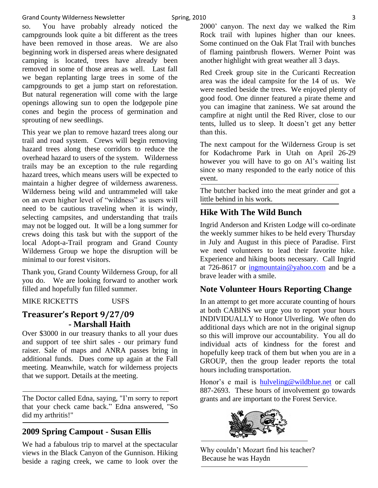so. You have probably already noticed the campgrounds look quite a bit different as the trees have been removed in those areas. We are also beginning work in dispersed areas where designated camping is located, trees have already been removed in some of those areas as well. Last fall we began replanting large trees in some of the campgrounds to get a jump start on reforestation. But natural regeneration will come with the large openings allowing sun to open the lodgepole pine cones and begin the process of germination and sprouting of new seedlings.

This year we plan to remove hazard trees along our trail and road system. Crews will begin removing hazard trees along these corridors to reduce the overhead hazard to users of the system. Wilderness trails may be an exception to the rule regarding hazard trees, which means users will be expected to maintain a higher degree of wilderness awareness. Wilderness being wild and untrammeled will take on an even higher level of "wildness" as users will need to be cautious traveling when it is windy, selecting campsites, and understanding that trails may not be logged out. It will be a long summer for crews doing this task but with the support of the local Adopt-a-Trail program and Grand County Wilderness Group we hope the disruption will be minimal to our forest visitors.

Thank you, Grand County Wilderness Group, for all you do. We are looking forward to another work filled and hopefully fun filled summer.

MIKE RICKETTS USFS

### **Treasurer's Report 9/27/09 - Marshall Haith**

Over \$3000 in our treasury thanks to all your dues and support of tee shirt sales - our primary fund raiser. Sale of maps and ANRA passes bring in additional funds. Dues come up again at the Fall meeting. Meanwhile, watch for wilderness projects that we support. Details at the meeting.

The Doctor called Edna, saying, "I'm sorry to report that your check came back." Edna answered, "So did my arthritis!"

### **2009 Spring Campout - Susan Ellis**

We had a fabulous trip to marvel at the spectacular views in the Black Canyon of the Gunnison. Hiking beside a raging creek, we came to look over the

2000' canyon. The next day we walked the Rim Rock trail with lupines higher than our knees. Some continued on the Oak Flat Trail with bunches of flaming paintbrush flowers. Werner Point was another highlight with great weather all 3 days.

Red Creek group site in the Curicanti Recreation area was the ideal campsite for the 14 of us. We were nestled beside the trees. We enjoyed plenty of good food. One dinner featured a pirate theme and you can imagine that zaniness. We sat around the campfire at night until the Red River, close to our tents, lulled us to sleep. It doesn't get any better than this.

The next campout for the Wilderness Group is set for Kodachrome Park in Utah on April 26-29 however you will have to go on Al's waiting list since so many responded to the early notice of this event.

The butcher backed into the meat grinder and got a little behind in his work.

### **Hike With The Wild Bunch**

Ingrid Anderson and Kristen Lodge will co-ordinate the weekly summer hikes to be held every Thursday in July and August in this piece of Paradise. First we need volunteers to lead their favorite hike. Experience and hiking boots necessary. Call Ingrid at 726-8617 or  $\frac{1}{2}$  [ingmountain@yahoo.com](mailto:ingmountain@yahoo.com) and be a brave leader with a smile.

## **Note Volunteer Hours Reporting Change**

In an attempt to get more accurate counting of hours at both CABINS we urge you to report your hours INDIVIDUALLY to Honor Ulverling. We often do additional days which are not in the original signup so this will improve our accountability. You all do individual acts of kindness for the forest and hopefully keep track of them but when you are in a GROUP, then the group leader reports the total hours including transportation.

Honor's e mail is [hulveling@wildblue.net](mailto:hulveling@wildblue.net) or call 887-2693. These hours of involvement go towards grants and are important to the Forest Service.



Why couldn't Mozart find his teacher? Because he was Haydn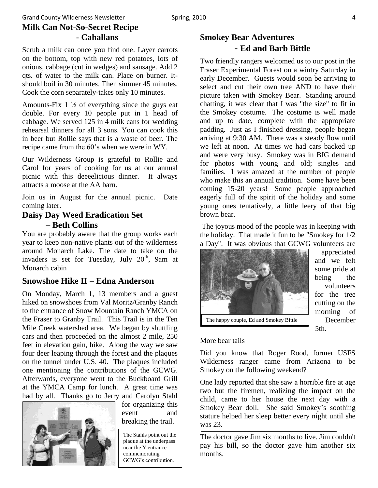#### Grand County Wilderness Newsletter Spring, 2010 **1986** and County Wilderness Newsletter American Spring, 2010 **Milk Can Not-So-Secret Recipe - Cahallans**

Scrub a milk can once you find one. Layer carrots on the bottom, top with new red potatoes, lots of onions, cabbage (cut in wedges) and sausage. Add 2 qts. of water to the milk can. Place on burner. Itshould boil in 30 minutes. Then simmer 45 minutes. Cook the corn separately-takes only 10 minutes.

Amounts-Fix 1 ½ of everything since the guys eat double. For every 10 people put in 1 head of cabbage. We served 125 in 4 milk cans for wedding rehearsal dinners for all 3 sons. You can cook this in beer but Rollie says that is a waste of beer. The recipe came from the 60's when we were in WY.

Our Wilderness Group is grateful to Rollie and Carol for years of cooking for us at our annual picnic with this deeeelicious dinner. It always attracts a moose at the AA barn.

Join us in August for the annual picnic. Date coming later.

### **Daisy Day Weed Eradication Set – Beth Collins**

You are probably aware that the group works each year to keep non-native plants out of the wilderness around Monarch Lake. The date to take on the invaders is set for Tuesday, July  $20<sup>th</sup>$ , 9am at Monarch cabin

### **Snowshoe Hike II – Edna Anderson**

On Monday, March 1, 13 members and a guest hiked on snowshoes from Val Moritz/Granby Ranch to the entrance of Snow Mountain Ranch YMCA on the Fraser to Granby Trail. This Trail is in the Ten Mile Creek watershed area. We began by shuttling cars and then proceeded on the almost 2 mile, 250 feet in elevation gain, hike. Along the way we saw four deer leaping through the forest and the plaques on the tunnel under U.S. 40. The plaques included one mentioning the contributions of the GCWG. Afterwards, everyone went to the Buckboard Grill at the YMCA Camp for lunch. A great time was had by all. Thanks go to Jerry and Carolyn Stahl



for organizing this event and breaking the trail.

The Stahls point out the plaque at the underpass near the Y entrance commemorating GCWG's contribution.

### **Smokey Bear Adventures - Ed and Barb Bittle**

Two friendly rangers welcomed us to our post in the Fraser Experimental Forest on a wintry Saturday in early December. Guests would soon be arriving to select and cut their own tree AND to have their picture taken with Smokey Bear. Standing around chatting, it was clear that I was "the size" to fit in the Smokey costume. The costume is well made and up to date, complete with the appropriate padding. Just as I finished dressing, people began arriving at 9:30 AM. There was a steady flow until we left at noon. At times we had cars backed up and were very busy. Smokey was in BIG demand for photos with young and old; singles and families. I was amazed at the number of people who make this an annual tradition. Some have been coming 15-20 years! Some people approached eagerly full of the spirit of the holiday and some young ones tentatively, a little leery of that big brown bear.

The joyous mood of the people was in keeping with the holiday. That made it fun to be "Smokey for 1/2 a Day". It was obvious that GCWG volunteers are



appreciated and we felt some pride at being the volunteers for the tree cutting on the morning of December 5th.

### More bear tails

Did you know that Roger Rood, former USFS Wilderness ranger came from Arizona to be Smokey on the following weekend?

One lady reported that she saw a horrible fire at age two but the firemen, realizing the impact on the child, came to her house the next day with a Smokey Bear doll. She said Smokey's soothing stature helped her sleep better every night until she was 23.

The doctor gave Jim six months to live. Jim couldn't pay his bill, so the doctor gave him another six months.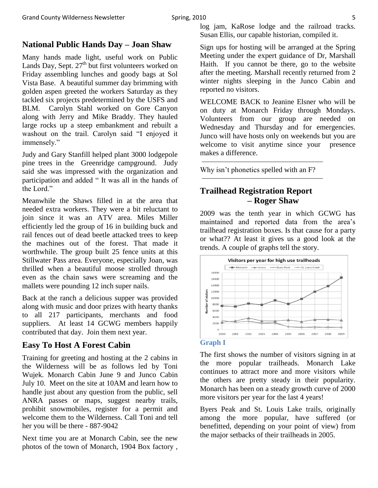### **National Public Hands Day – Joan Shaw**

Many hands made light, useful work on Public Lands Day, Sept.  $27<sup>th</sup>$  but first volunteers worked on Friday assembling lunches and goody bags at Sol Vista Base. A beautiful summer day brimming with golden aspen greeted the workers Saturday as they tackled six projects predetermined by the USFS and BLM. Carolyn Stahl worked on Gore Canyon along with Jerry and Mike Braddy. They hauled large rocks up a steep embankment and rebuilt a washout on the trail. Carolyn said "I enjoyed it immensely."

Judy and Gary Stanfill helped plant 3000 lodgepole pine trees in the Greenridge campground. Judy said she was impressed with the organization and participation and added " It was all in the hands of the Lord."

Meanwhile the Shaws filled in at the area that needed extra workers. They were a bit reluctant to join since it was an ATV area. Miles Miller efficiently led the group of 16 in building buck and rail fences out of dead beetle attacked trees to keep the machines out of the forest. That made it worthwhile. The group built 25 fence units at this Stillwater Pass area. Everyone, especially Joan, was thrilled when a beautiful moose strolled through even as the chain saws were screaming and the mallets were pounding 12 inch super nails.

Back at the ranch a delicious supper was provided along with music and door prizes with hearty thanks to all 217 participants, merchants and food suppliers. At least 14 GCWG members happily contributed that day. Join them next year.

### **Easy To Host A Forest Cabin**

Training for greeting and hosting at the 2 cabins in the Wilderness will be as follows led by Toni Wujek. Monarch Cabin June 9 and Junco Cabin July 10. Meet on the site at 10AM and learn how to handle just about any question from the public, sell ANRA passes or maps, suggest nearby trails, prohibit snowmobiles, register for a permit and welcome them to the Wilderness. Call Toni and tell her you will be there - 887-9042

Next time you are at Monarch Cabin, see the new photos of the town of Monarch, 1904 Box factory , log jam, KaRose lodge and the railroad tracks. Susan Ellis, our capable historian, compiled it.

Sign ups for hosting will be arranged at the Spring Meeting under the expert guidance of Dr, Marshall Haith. If you cannot be there, go to the website after the meeting. Marshall recently returned from 2 winter nights sleeping in the Junco Cabin and reported no visitors.

WELCOME BACK to Jeanine Elsner who will be on duty at Monarch Friday through Mondays. Volunteers from our group are needed on Wednesday and Thursday and for emergencies. Junco will have hosts only on weekends but you are welcome to visit anytime since your presence makes a difference.

Why isn't phonetics spelled with an F?

### **Trailhead Registration Report – Roger Shaw**

2009 was the tenth year in which GCWG has maintained and reported data from the area's trailhead registration boxes. Is that cause for a party or what?? At least it gives us a good look at the trends. A couple of graphs tell the story.



#### **Graph I**

The first shows the number of visitors signing in at the more popular trailheads. Monarch Lake continues to attract more and more visitors while the others are pretty steady in their popularity. Monarch has been on a steady growth curve of 2000 more visitors per year for the last 4 years!

Byers Peak and St. Louis Lake trails, originally among the more popular, have suffered (or benefitted, depending on your point of view) from the major setbacks of their trailheads in 2005.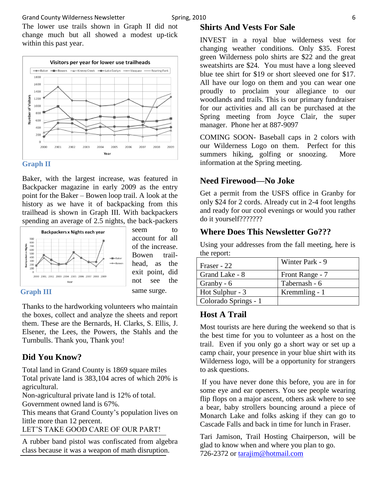#### Grand County Wilderness Newsletter Spring, 2010 **6** Spring, 2010

The lower use trails shown in Graph II did not change much but all showed a modest up-tick within this past year.





Baker, with the largest increase, was featured in Backpacker magazine in early 2009 as the entry point for the Baker – Bowen loop trail. A look at the history as we have it of backpacking from this trailhead is shown in Graph III. With backpackers spending an average of 2.5 nights, the back-packers



seem to account for all of the increase. Bowen trailhead, as the exit point, did not see the same surge.

#### **Graph III**

Thanks to the hardworking volunteers who maintain the boxes, collect and analyze the sheets and report them. These are the Bernards, H. Clarks, S. Ellis, J. Elsener, the Lees, the Powers, the Stahls and the Turnbulls. Thank you, Thank you!

### **Did You Know?**

Total land in Grand County is 1869 square miles Total private land is 383,104 acres of which 20% is agricultural.

Non-agricultural private land is 12% of total. Government owned land is 67%.

This means that Grand County's population lives on little more than 12 percent.

LET'S TAKE GOOD CARE OF OUR PART!

A rubber band pistol was confiscated from algebra class because it was a weapon of math disruption.

#### **Shirts And Vests For Sale**

INVEST in a royal blue wilderness vest for changing weather conditions. Only \$35. Forest green Wilderness polo shirts are \$22 and the great sweatshirts are \$24. You must have a long sleeved blue tee shirt for \$19 or short sleeved one for \$17. All have our logo on them and you can wear one proudly to proclaim your allegiance to our woodlands and trails. This is our primary fundraiser for our activities and all can be purchased at the Spring meeting from Joyce Clair, the super manager. Phone her at 887-9097

COMING SOON- Baseball caps in 2 colors with our Wilderness Logo on them. Perfect for this summers hiking, golfing or snoozing. More information at the Spring meeting.

### **Need Firewood—No Joke**

Get a permit from the USFS office in Granby for only \$24 for 2 cords. Already cut in 2-4 foot lengths and ready for our cool evenings or would you rather do it yourself???????

#### **Where Does This Newsletter Go???**

Using your addresses from the fall meeting, here is the report:

| Fraser - 22          | Winter Park - 9 |
|----------------------|-----------------|
| Grand Lake - 8       | Front Range - 7 |
| Granby - 6           | Tabernash - 6   |
| Hot Sulphur - 3      | Kremmling - 1   |
| Colorado Springs - 1 |                 |

#### **Host A Trail**

Most tourists are here during the weekend so that is the best time for you to volunteer as a host on the trail. Even if you only go a short way or set up a camp chair, your presence in your blue shirt with its Wilderness logo, will be a opportunity for strangers to ask questions.

If you have never done this before, you are in for some eye and ear openers. You see people wearing flip flops on a major ascent, others ask where to see a bear, baby strollers bouncing around a piece of Monarch Lake and folks asking if they can go to Cascade Falls and back in time for lunch in Fraser.

Tari Jamison, Trail Hosting Chairperson, will be glad to know when and where you plan to go. 726-2372 or [tarajim@hotmail.com](mailto:tarajim@hotmail.com)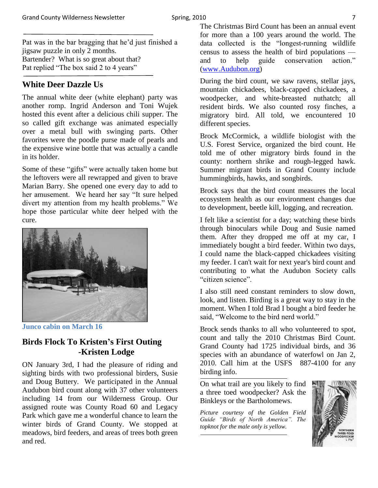Pat was in the bar bragging that he'd just finished a jigsaw puzzle in only 2 months. Bartender? What is so great about that? Pat replied "The box said 2 to 4 years"

### **White Deer Dazzle Us**

The annual white deer (white elephant) party was another romp. Ingrid Anderson and Toni Wujek hosted this event after a delicious chili supper. The so called gift exchange was animated especially over a metal bull with swinging parts. Other favorites were the poodle purse made of pearls and the expensive wine bottle that was actually a candle in its holder.

Some of these "gifts" were actually taken home but the leftovers were all rewrapped and given to brave Marian Barry. She opened one every day to add to her amusement. We heard her say "It sure helped divert my attention from my health problems." We hope those particular white deer helped with the cure.



**Junco cabin on March 16**

### **Birds Flock To Kristen's First Outing -Kristen Lodge**

ON January 3rd, I had the pleasure of riding and sighting birds with two professional birders, Susie and Doug Buttery. We participated in the Annual Audubon bird count along with 37 other volunteers including 14 from our Wilderness Group. Our assigned route was County Road 60 and Legacy Park which gave me a wonderful chance to learn the winter birds of Grand County. We stopped at meadows, bird feeders, and areas of trees both green and red.

The Christmas Bird Count has been an annual event for more than a 100 years around the world. The data collected is the "longest-running wildlife census to assess the health of bird populations and to help guide conservation action." [\(www.Audubon.org\)](http://www.audubon.org/)

During the bird count, we saw ravens, stellar jays, mountain chickadees, black-capped chickadees, a woodpecker, and white-breasted nuthatch; all resident birds. We also counted rosy finches, a migratory bird. All told, we encountered 10 different species.

Brock McCormick, a wildlife biologist with the U.S. Forest Service, organized the bird count. He told me of other migratory birds found in the county: northern shrike and rough-legged hawk. Summer migrant birds in Grand County include hummingbirds, hawks, and songbirds.

Brock says that the bird count measures the local ecosystem health as our environment changes due to development, beetle kill, logging, and recreation.

I felt like a scientist for a day; watching these birds through binoculars while Doug and Susie named them. After they dropped me off at my car, I immediately bought a bird feeder. Within two days, I could name the black-capped chickadees visiting my feeder. I can't wait for next year's bird count and contributing to what the Audubon Society calls "citizen science".

I also still need constant reminders to slow down, look, and listen. Birding is a great way to stay in the moment. When I told Brad I bought a bird feeder he said. "Welcome to the bird nerd world."

Brock sends thanks to all who volunteered to spot, count and tally the 2010 Christmas Bird Count. Grand County had 1725 individual birds, and 36 species with an abundance of waterfowl on Jan 2, 2010. Call him at the USFS 887-4100 for any birding info.

On what trail are you likely to find a three toed woodpecker? Ask the Binkleys or the Bartholomews.

*Picture courtesy of the Golden Field Guide "Birds of North America". The topknot for the male only is yellow.*

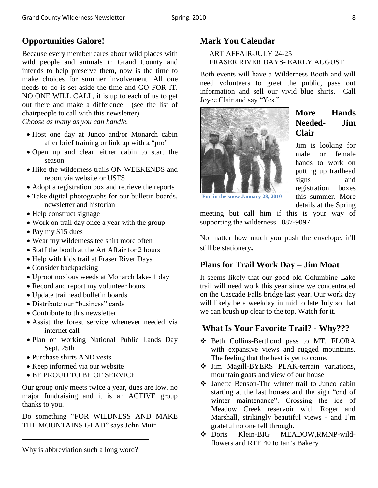### **Opportunities Galore!**

Because every member cares about wild places with wild people and animals in Grand County and intends to help preserve them, now is the time to make choices for summer involvement. All one needs to do is set aside the time and GO FOR IT. NO ONE WILL CALL, it is up to each of us to get out there and make a difference. (see the list of chairpeople to call with this newsletter)

*Choose as many as you can handle.*

- Host one day at Junco and/or Monarch cabin after brief training or link up with a "pro"
- Open up and clean either cabin to start the season
- Hike the wilderness trails ON WEEKENDS and report via website or USFS
- Adopt a registration box and retrieve the reports
- Take digital photographs for our bulletin boards, newsletter and historian
- Help construct signage
- Work on trail day once a year with the group
- Pay my \$15 dues
- Wear my wilderness tee shirt more often
- Staff the booth at the Art Affair for 2 hours
- Help with kids trail at Fraser River Days
- Consider backpacking
- Uproot noxious weeds at Monarch lake- 1 day
- Record and report my volunteer hours
- Update trailhead bulletin boards
- Distribute our "business" cards
- Contribute to this newsletter
- Assist the forest service whenever needed via internet call
- Plan on working National Public Lands Day Sept. 25th
- Purchase shirts AND vests
- Keep informed via our website
- BE PROUD TO BE OF SERVICE

Our group only meets twice a year, dues are low, no major fundraising and it is an ACTIVE group thanks to you.

Do something "FOR WILDNESS AND MAKE THE MOUNTAINS GLAD" says John Muir

### **Mark You Calendar**

#### ART AFFAIR-JULY 24-25 FRASER RIVER DAYS- EARLY AUGUST

Both events will have a Wilderness Booth and will need volunteers to greet the public, pass out information and sell our vivid blue shirts. Call Joyce Clair and say "Yes."



### **More Hands Needed- Jim Clair**

Jim is looking for male or female hands to work on putting up trailhead signs and registration boxes this summer. More details at the Spring

**Fun in the snow January 28, 2010** 

meeting but call him if this is your way of supporting the wilderness. 887-9097

No matter how much you push the envelope, it'll still be stationery**.**

### **Plans for Trail Work Day – Jim Moat**

It seems likely that our good old Columbine Lake trail will need work this year since we concentrated on the Cascade Falls bridge last year. Our work day will likely be a weekday in mid to late July so that we can brush up clear to the top. Watch for it.

### **What Is Your Favorite Trail? - Why???**

- Beth Collins-Berthoud pass to MT. FLORA with expansive views and rugged mountains. The feeling that the best is yet to come.
- Jim Magill-BYERS PEAK-terrain variations, mountain goats and view of our house
- Janette Benson-The winter trail to Junco cabin starting at the last houses and the sign "end of winter maintenance". Crossing the ice of Meadow Creek reservoir with Roger and Marshall, strikingly beautiful views - and I'm grateful no one fell through.<br>  $\div$  Doris Klein-BIG MEA
- Klein-BIG MEADOW,RMNP-wildflowers and RTE 40 to Ian's Bakery

Why is abbreviation such a long word?